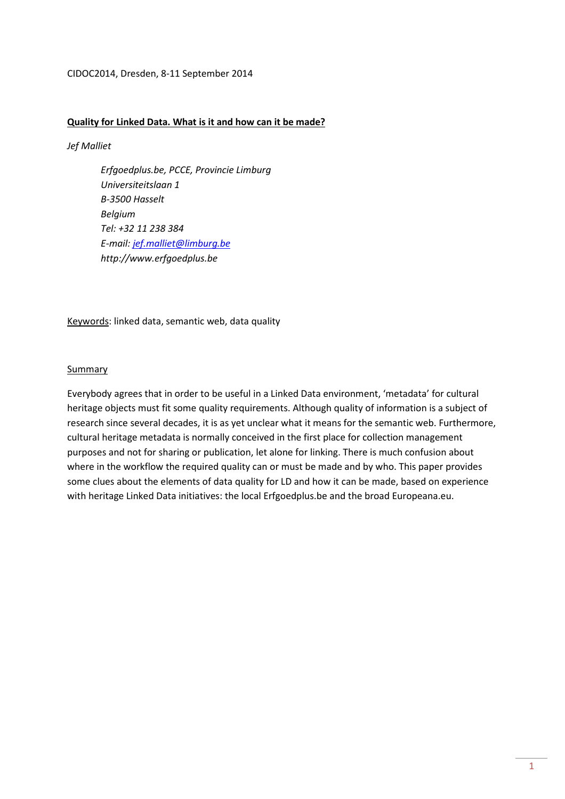## CIDOC2014, Dresden, 8-11 September 2014

## **Quality for Linked Data. What is it and how can it be made?**

*Jef Malliet* 

*Erfgoedplus.be, PCCE, Provincie Limburg Universiteitslaan 1 B-3500 Hasselt Belgium Tel: +32 11 238 384 E-mail: jef.malliet@limburg.be http://www.erfgoedplus.be* 

Keywords: linked data, semantic web, data quality

#### Summary

Everybody agrees that in order to be useful in a Linked Data environment, 'metadata' for cultural heritage objects must fit some quality requirements. Although quality of information is a subject of research since several decades, it is as yet unclear what it means for the semantic web. Furthermore, cultural heritage metadata is normally conceived in the first place for collection management purposes and not for sharing or publication, let alone for linking. There is much confusion about where in the workflow the required quality can or must be made and by who. This paper provides some clues about the elements of data quality for LD and how it can be made, based on experience with heritage Linked Data initiatives: the local Erfgoedplus.be and the broad Europeana.eu.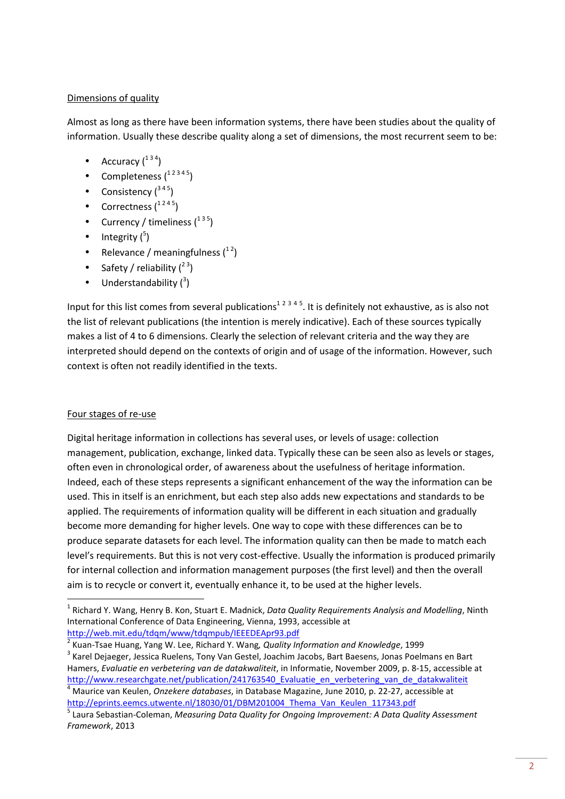# Dimensions of quality

Almost as long as there have been information systems, there have been studies about the quality of information. Usually these describe quality along a set of dimensions, the most recurrent seem to be:

- Accuracy  $(^{134})$
- Completeness  $\binom{12345}{ }$
- Consistency  $(^{345})$
- Correctness  $\binom{1245}{ }$
- Currency / timeliness  $\binom{135}{ }$
- Integrity  $(^5)$
- Relevance / meaningfulness  $\binom{12}{1}$
- Safety / reliability  $(^{23})$
- $\bullet$  Understandability  $(^3)$

Input for this list comes from several publications<sup>12345</sup>. It is definitely not exhaustive, as is also not the list of relevant publications (the intention is merely indicative). Each of these sources typically makes a list of 4 to 6 dimensions. Clearly the selection of relevant criteria and the way they are interpreted should depend on the contexts of origin and of usage of the information. However, such context is often not readily identified in the texts.

# Four stages of re-use

l

Digital heritage information in collections has several uses, or levels of usage: collection management, publication, exchange, linked data. Typically these can be seen also as levels or stages, often even in chronological order, of awareness about the usefulness of heritage information. Indeed, each of these steps represents a significant enhancement of the way the information can be used. This in itself is an enrichment, but each step also adds new expectations and standards to be applied. The requirements of information quality will be different in each situation and gradually become more demanding for higher levels. One way to cope with these differences can be to produce separate datasets for each level. The information quality can then be made to match each level's requirements. But this is not very cost-effective. Usually the information is produced primarily for internal collection and information management purposes (the first level) and then the overall aim is to recycle or convert it, eventually enhance it, to be used at the higher levels.

<sup>&</sup>lt;sup>1</sup> Richard Y. Wang, Henry B. Kon, Stuart E. Madnick, *Data Quality Requirements Analysis and Modelling*, Ninth International Conference of Data Engineering, Vienna, 1993, accessible at http://web.mit.edu/tdqm/www/tdqmpub/IEEEDEApr93.pdf

<sup>2</sup> Kuan-Tsae Huang, Yang W. Lee, Richard Y. Wang*, Quality Information and Knowledge*, 1999

<sup>&</sup>lt;sup>3</sup> Karel Dejaeger, Jessica Ruelens, Tony Van Gestel, Joachim Jacobs, Bart Baesens, Jonas Poelmans en Bart Hamers, *Evaluatie en verbetering van de datakwaliteit*, in Informatie, November 2009, p. 8-15, accessible at http://www.researchgate.net/publication/241763540\_Evaluatie\_en\_verbetering\_van\_de\_datakwaliteit 4 Maurice van Keulen, *Onzekere databases*, in Database Magazine, June 2010, p. 22-27, accessible at http://eprints.eemcs.utwente.nl/18030/01/DBM201004\_Thema\_Van\_Keulen\_117343.pdf

<sup>5</sup> Laura Sebastian-Coleman, *Measuring Data Quality for Ongoing Improvement: A Data Quality Assessment Framework*, 2013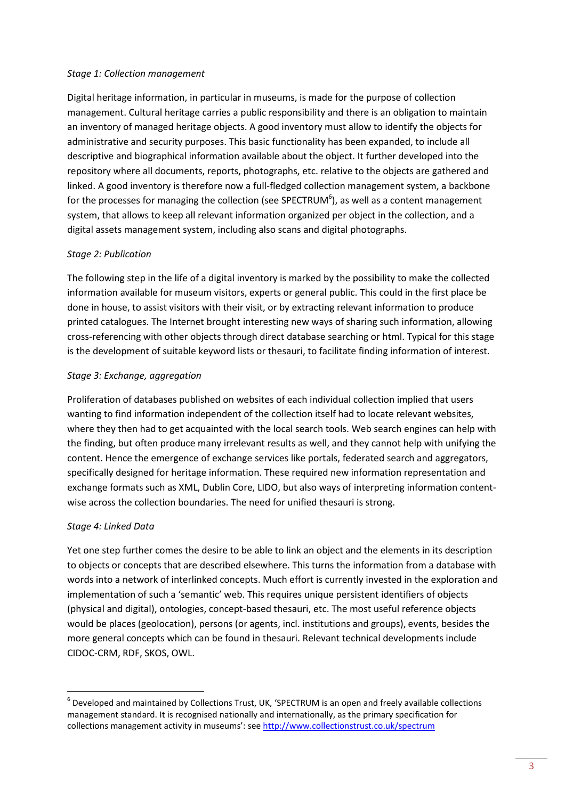## *Stage 1: Collection management*

Digital heritage information, in particular in museums, is made for the purpose of collection management. Cultural heritage carries a public responsibility and there is an obligation to maintain an inventory of managed heritage objects. A good inventory must allow to identify the objects for administrative and security purposes. This basic functionality has been expanded, to include all descriptive and biographical information available about the object. It further developed into the repository where all documents, reports, photographs, etc. relative to the objects are gathered and linked. A good inventory is therefore now a full-fledged collection management system, a backbone for the processes for managing the collection (see SPECTRUM<sup>6</sup>), as well as a content management system, that allows to keep all relevant information organized per object in the collection, and a digital assets management system, including also scans and digital photographs.

# *Stage 2: Publication*

The following step in the life of a digital inventory is marked by the possibility to make the collected information available for museum visitors, experts or general public. This could in the first place be done in house, to assist visitors with their visit, or by extracting relevant information to produce printed catalogues. The Internet brought interesting new ways of sharing such information, allowing cross-referencing with other objects through direct database searching or html. Typical for this stage is the development of suitable keyword lists or thesauri, to facilitate finding information of interest.

# *Stage 3: Exchange, aggregation*

Proliferation of databases published on websites of each individual collection implied that users wanting to find information independent of the collection itself had to locate relevant websites, where they then had to get acquainted with the local search tools. Web search engines can help with the finding, but often produce many irrelevant results as well, and they cannot help with unifying the content. Hence the emergence of exchange services like portals, federated search and aggregators, specifically designed for heritage information. These required new information representation and exchange formats such as XML, Dublin Core, LIDO, but also ways of interpreting information contentwise across the collection boundaries. The need for unified thesauri is strong.

# *Stage 4: Linked Data*

l

Yet one step further comes the desire to be able to link an object and the elements in its description to objects or concepts that are described elsewhere. This turns the information from a database with words into a network of interlinked concepts. Much effort is currently invested in the exploration and implementation of such a 'semantic' web. This requires unique persistent identifiers of objects (physical and digital), ontologies, concept-based thesauri, etc. The most useful reference objects would be places (geolocation), persons (or agents, incl. institutions and groups), events, besides the more general concepts which can be found in thesauri. Relevant technical developments include CIDOC-CRM, RDF, SKOS, OWL.

 $<sup>6</sup>$  Developed and maintained by Collections Trust, UK, 'SPECTRUM is an open and freely available collections</sup> management standard. It is recognised nationally and internationally, as the primary specification for collections management activity in museums': see http://www.collectionstrust.co.uk/spectrum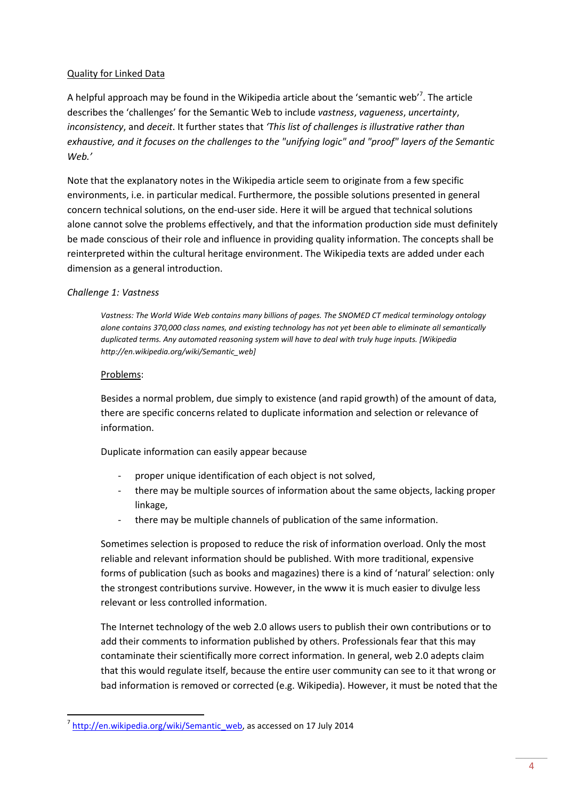# Quality for Linked Data

A helpful approach may be found in the Wikipedia article about the 'semantic web'<sup>7</sup>. The article describes the 'challenges' for the Semantic Web to include *vastness*, *vagueness*, *uncertainty*, *inconsistency*, and *deceit*. It further states that *'This list of challenges is illustrative rather than exhaustive, and it focuses on the challenges to the "unifying logic" and "proof" layers of the Semantic Web.'*

Note that the explanatory notes in the Wikipedia article seem to originate from a few specific environments, i.e. in particular medical. Furthermore, the possible solutions presented in general concern technical solutions, on the end-user side. Here it will be argued that technical solutions alone cannot solve the problems effectively, and that the information production side must definitely be made conscious of their role and influence in providing quality information. The concepts shall be reinterpreted within the cultural heritage environment. The Wikipedia texts are added under each dimension as a general introduction.

## *Challenge 1: Vastness*

*Vastness: The World Wide Web contains many billions of pages. The SNOMED CT medical terminology ontology alone contains 370,000 class names, and existing technology has not yet been able to eliminate all semantically duplicated terms. Any automated reasoning system will have to deal with truly huge inputs. [Wikipedia http://en.wikipedia.org/wiki/Semantic\_web]*

## Problems:

Besides a normal problem, due simply to existence (and rapid growth) of the amount of data, there are specific concerns related to duplicate information and selection or relevance of information.

Duplicate information can easily appear because

- proper unique identification of each object is not solved,
- there may be multiple sources of information about the same objects, lacking proper linkage,
- there may be multiple channels of publication of the same information.

Sometimes selection is proposed to reduce the risk of information overload. Only the most reliable and relevant information should be published. With more traditional, expensive forms of publication (such as books and magazines) there is a kind of 'natural' selection: only the strongest contributions survive. However, in the www it is much easier to divulge less relevant or less controlled information.

The Internet technology of the web 2.0 allows users to publish their own contributions or to add their comments to information published by others. Professionals fear that this may contaminate their scientifically more correct information. In general, web 2.0 adepts claim that this would regulate itself, because the entire user community can see to it that wrong or bad information is removed or corrected (e.g. Wikipedia). However, it must be noted that the

<sup>&</sup>lt;sup>7</sup> http://en.wikipedia.org/wiki/Semantic\_web, as accessed on 17 July 2014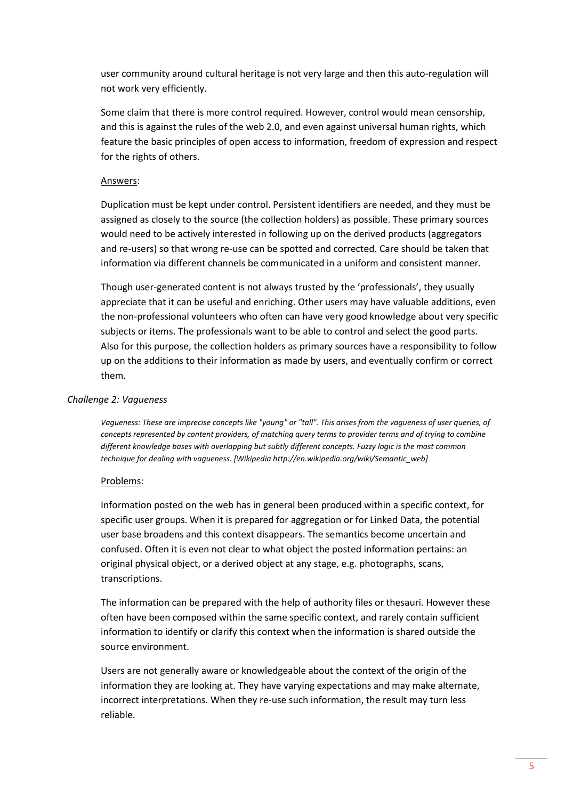user community around cultural heritage is not very large and then this auto-regulation will not work very efficiently.

Some claim that there is more control required. However, control would mean censorship, and this is against the rules of the web 2.0, and even against universal human rights, which feature the basic principles of open access to information, freedom of expression and respect for the rights of others.

## Answers:

Duplication must be kept under control. Persistent identifiers are needed, and they must be assigned as closely to the source (the collection holders) as possible. These primary sources would need to be actively interested in following up on the derived products (aggregators and re-users) so that wrong re-use can be spotted and corrected. Care should be taken that information via different channels be communicated in a uniform and consistent manner.

Though user-generated content is not always trusted by the 'professionals', they usually appreciate that it can be useful and enriching. Other users may have valuable additions, even the non-professional volunteers who often can have very good knowledge about very specific subjects or items. The professionals want to be able to control and select the good parts. Also for this purpose, the collection holders as primary sources have a responsibility to follow up on the additions to their information as made by users, and eventually confirm or correct them.

### *Challenge 2: Vagueness*

*Vagueness: These are imprecise concepts like "young" or "tall". This arises from the vagueness of user queries, of concepts represented by content providers, of matching query terms to provider terms and of trying to combine different knowledge bases with overlapping but subtly different concepts. Fuzzy logic is the most common technique for dealing with vagueness. [Wikipedia http://en.wikipedia.org/wiki/Semantic\_web]*

## Problems:

Information posted on the web has in general been produced within a specific context, for specific user groups. When it is prepared for aggregation or for Linked Data, the potential user base broadens and this context disappears. The semantics become uncertain and confused. Often it is even not clear to what object the posted information pertains: an original physical object, or a derived object at any stage, e.g. photographs, scans, transcriptions.

The information can be prepared with the help of authority files or thesauri. However these often have been composed within the same specific context, and rarely contain sufficient information to identify or clarify this context when the information is shared outside the source environment.

Users are not generally aware or knowledgeable about the context of the origin of the information they are looking at. They have varying expectations and may make alternate, incorrect interpretations. When they re-use such information, the result may turn less reliable.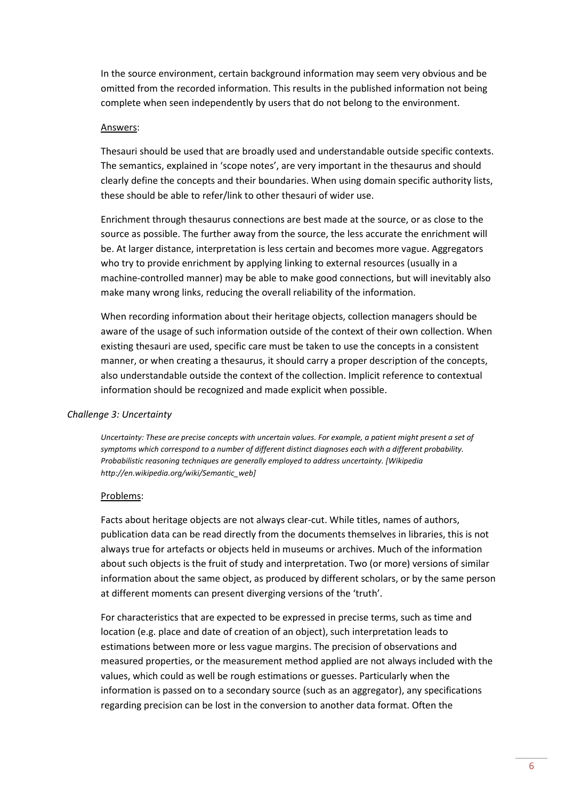In the source environment, certain background information may seem very obvious and be omitted from the recorded information. This results in the published information not being complete when seen independently by users that do not belong to the environment.

### Answers:

Thesauri should be used that are broadly used and understandable outside specific contexts. The semantics, explained in 'scope notes', are very important in the thesaurus and should clearly define the concepts and their boundaries. When using domain specific authority lists, these should be able to refer/link to other thesauri of wider use.

Enrichment through thesaurus connections are best made at the source, or as close to the source as possible. The further away from the source, the less accurate the enrichment will be. At larger distance, interpretation is less certain and becomes more vague. Aggregators who try to provide enrichment by applying linking to external resources (usually in a machine-controlled manner) may be able to make good connections, but will inevitably also make many wrong links, reducing the overall reliability of the information.

When recording information about their heritage objects, collection managers should be aware of the usage of such information outside of the context of their own collection. When existing thesauri are used, specific care must be taken to use the concepts in a consistent manner, or when creating a thesaurus, it should carry a proper description of the concepts, also understandable outside the context of the collection. Implicit reference to contextual information should be recognized and made explicit when possible.

#### *Challenge 3: Uncertainty*

*Uncertainty: These are precise concepts with uncertain values. For example, a patient might present a set of symptoms which correspond to a number of different distinct diagnoses each with a different probability. Probabilistic reasoning techniques are generally employed to address uncertainty. [Wikipedia http://en.wikipedia.org/wiki/Semantic\_web]*

#### Problems:

Facts about heritage objects are not always clear-cut. While titles, names of authors, publication data can be read directly from the documents themselves in libraries, this is not always true for artefacts or objects held in museums or archives. Much of the information about such objects is the fruit of study and interpretation. Two (or more) versions of similar information about the same object, as produced by different scholars, or by the same person at different moments can present diverging versions of the 'truth'.

For characteristics that are expected to be expressed in precise terms, such as time and location (e.g. place and date of creation of an object), such interpretation leads to estimations between more or less vague margins. The precision of observations and measured properties, or the measurement method applied are not always included with the values, which could as well be rough estimations or guesses. Particularly when the information is passed on to a secondary source (such as an aggregator), any specifications regarding precision can be lost in the conversion to another data format. Often the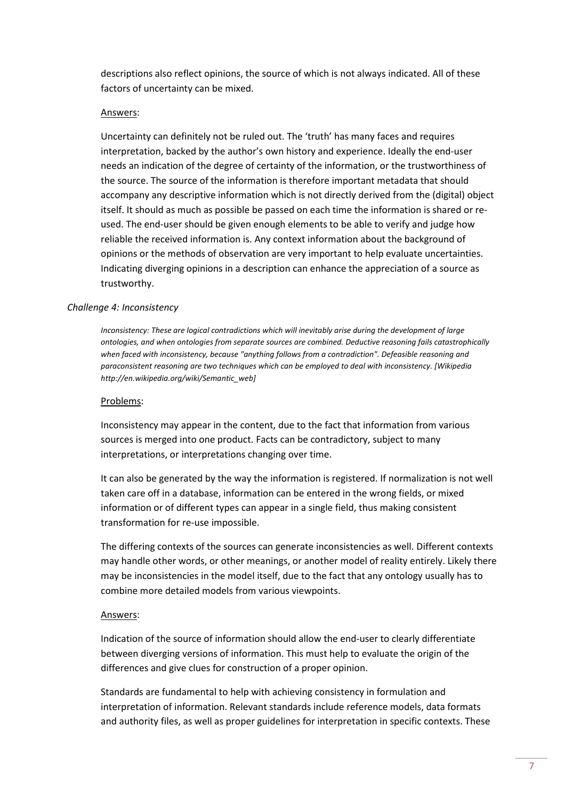descriptions also reflect opinions, the source of which is not always indicated. All of these factors of uncertainty can be mixed.

#### Answers:

Uncertainty can definitely not be ruled out. The 'truth' has many faces and requires interpretation, backed by the author's own history and experience. Ideally the end-user needs an indication of the degree of certainty of the information, or the trustworthiness of the source. The source of the information is therefore important metadata that should accompany any descriptive information which is not directly derived from the (digital) object itself. It should as much as possible be passed on each time the information is shared or reused. The end-user should be given enough elements to be able to verify and judge how reliable the received information is. Any context information about the background of opinions or the methods of observation are very important to help evaluate uncertainties. Indicating diverging opinions in a description can enhance the appreciation of a source as trustworthy.

### *Challenge 4: Inconsistency*

*Inconsistency: These are logical contradictions which will inevitably arise during the development of large ontologies, and when ontologies from separate sources are combined. Deductive reasoning fails catastrophically when faced with inconsistency, because "anything follows from a contradiction". Defeasible reasoning and paraconsistent reasoning are two techniques which can be employed to deal with inconsistency. [Wikipedia http://en.wikipedia.org/wiki/Semantic\_web]*

#### Problems:

Inconsistency may appear in the content, due to the fact that information from various sources is merged into one product. Facts can be contradictory, subject to many interpretations, or interpretations changing over time.

It can also be generated by the way the information is registered. If normalization is not well taken care off in a database, information can be entered in the wrong fields, or mixed information or of different types can appear in a single field, thus making consistent transformation for re-use impossible.

The differing contexts of the sources can generate inconsistencies as well. Different contexts may handle other words, or other meanings, or another model of reality entirely. Likely there may be inconsistencies in the model itself, due to the fact that any ontology usually has to combine more detailed models from various viewpoints.

#### Answers:

Indication of the source of information should allow the end-user to clearly differentiate between diverging versions of information. This must help to evaluate the origin of the differences and give clues for construction of a proper opinion.

Standards are fundamental to help with achieving consistency in formulation and interpretation of information. Relevant standards include reference models, data formats and authority files, as well as proper guidelines for interpretation in specific contexts. These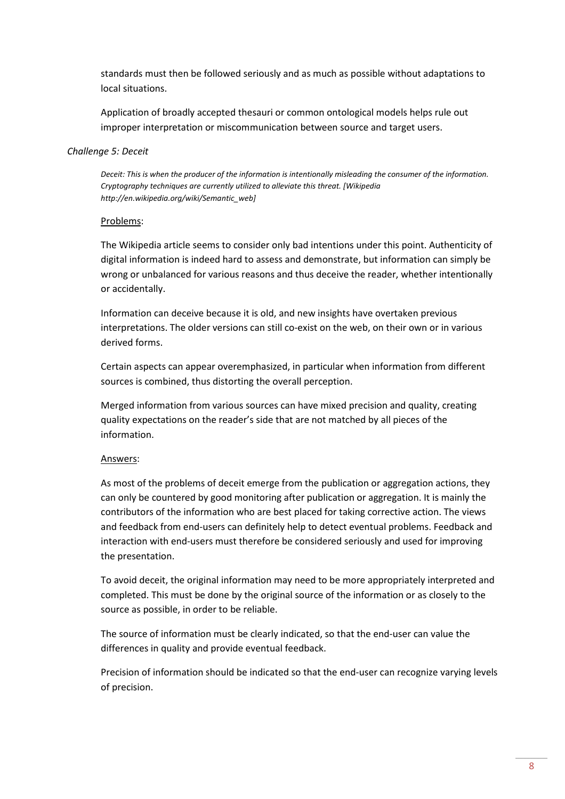standards must then be followed seriously and as much as possible without adaptations to local situations.

Application of broadly accepted thesauri or common ontological models helps rule out improper interpretation or miscommunication between source and target users.

## *Challenge 5: Deceit*

*Deceit: This is when the producer of the information is intentionally misleading the consumer of the information. Cryptography techniques are currently utilized to alleviate this threat. [Wikipedia http://en.wikipedia.org/wiki/Semantic\_web]*

## Problems:

The Wikipedia article seems to consider only bad intentions under this point. Authenticity of digital information is indeed hard to assess and demonstrate, but information can simply be wrong or unbalanced for various reasons and thus deceive the reader, whether intentionally or accidentally.

Information can deceive because it is old, and new insights have overtaken previous interpretations. The older versions can still co-exist on the web, on their own or in various derived forms.

Certain aspects can appear overemphasized, in particular when information from different sources is combined, thus distorting the overall perception.

Merged information from various sources can have mixed precision and quality, creating quality expectations on the reader's side that are not matched by all pieces of the information.

# Answers:

As most of the problems of deceit emerge from the publication or aggregation actions, they can only be countered by good monitoring after publication or aggregation. It is mainly the contributors of the information who are best placed for taking corrective action. The views and feedback from end-users can definitely help to detect eventual problems. Feedback and interaction with end-users must therefore be considered seriously and used for improving the presentation.

To avoid deceit, the original information may need to be more appropriately interpreted and completed. This must be done by the original source of the information or as closely to the source as possible, in order to be reliable.

The source of information must be clearly indicated, so that the end-user can value the differences in quality and provide eventual feedback.

Precision of information should be indicated so that the end-user can recognize varying levels of precision.